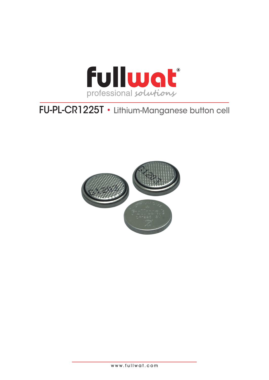

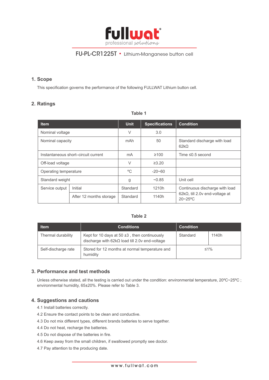

#### **1. Scope**

This specification governs the performance of the following FULLWAT Lithium button cell.

## **2. Ratings**

| <b>Item</b>                         |                         | <b>Unit</b> | <b>Specifications</b> | <b>Condition</b>                                       |  |
|-------------------------------------|-------------------------|-------------|-----------------------|--------------------------------------------------------|--|
| Nominal voltage                     |                         | $\vee$      | 3.0                   |                                                        |  |
| Nominal capacity                    |                         | mAh         | 50                    | Standard discharge with load<br>$62k\Omega$            |  |
| Instantaneous short-circuit current |                         | mA          | $\geq 100$            | Time $\leq 0.5$ second                                 |  |
| Off-load voltage                    |                         | $\vee$      | $\geq 3.20$           |                                                        |  |
| Operating temperature               |                         | °C          | $-20 - 60$            |                                                        |  |
| Standard weight                     |                         | g           | ~10.85                | Unit cell                                              |  |
| Service output                      | Initial                 | Standard    | 1210h                 | Continuous discharge with load                         |  |
|                                     | After 12 months storage | Standard    | 1140h                 | $62k\Omega$ , till 2.0v end-voltage at<br>$20 - 25$ °C |  |

#### **Table 1**

#### **Table 2**

| <b>Item</b>         | <b>Conditions</b>                                                                                          | <b>Condition</b> |       |
|---------------------|------------------------------------------------------------------------------------------------------------|------------------|-------|
| Thermal durability  | Kept for 10 days at 50 $\pm$ 3, then continuously<br>discharge with $62k\Omega$ load till 2.0v end-voltage | Standard         | 1140h |
| Self-discharge rate | Stored for 12 months at normal temperature and<br>humidity                                                 | $≤1\%$           |       |

#### **3. Performance and test methods**

Unless otherwise stated, all the testing is carried out under the condition: environmental temperature, 20ºC~25ºC ; environmental humidity, 65±20%. Please refer to Table 3.

#### **4. Suggestions and cautions**

- 4.1 Install batteries correctly.
- 4.2 Ensure the contact points to be clean and conductive.
- 4.3 Do not mix different types, different brands batteries to serve together.
- 4.4 Do not heat, recharge the batteries.
- 4.5 Do not dispose of the batteries in fire.
- 4.6 Keep away from the small children, if swallowed promptly see doctor.
- 4.7 Pay attention to the producing date.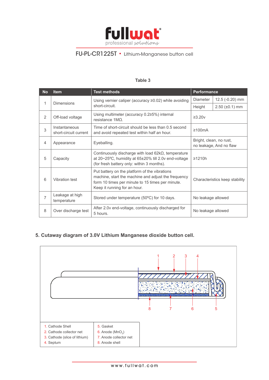

## **Table 3**

| <b>No</b>      | <b>Test methods</b><br><b>Item</b>                                                                                                                                           |                                                                                                                                                                                          | <b>Performance</b>                                 |                         |
|----------------|------------------------------------------------------------------------------------------------------------------------------------------------------------------------------|------------------------------------------------------------------------------------------------------------------------------------------------------------------------------------------|----------------------------------------------------|-------------------------|
| 1              | <b>Dimensions</b>                                                                                                                                                            | Using vernier caliper (accuracy ≥0.02) while avoiding                                                                                                                                    | Diameter                                           | 12.5 (-0.20) mm         |
|                |                                                                                                                                                                              | short-circuit.                                                                                                                                                                           | Height                                             | $2.50$ ( $\pm 0.1$ ) mm |
| 2              | Off-load voltage                                                                                                                                                             | Using multimeter (accuracy $0.2$ $\geq$ 5%) internal<br>resistance $1M2$ .                                                                                                               | $\geq 3.20v$                                       |                         |
| 3              | Instantaneous<br>short-circuit current                                                                                                                                       | Time of short-circuit should be less than 0.5 second<br>and avoid repeated test within half an hour.                                                                                     | $\geq 100 \text{mA}$                               |                         |
| $\overline{4}$ | Appearance                                                                                                                                                                   | Eyeballing.                                                                                                                                                                              | Bright, clean, no rust,<br>no leakage, And no flaw |                         |
| 5              | Continuously discharge with load $62k\Omega$ , temperature<br>at 20~25°C, humidity at 65±20% till 2.0v end-voltage<br>Capacity<br>(for fresh battery only: within 3 months). |                                                                                                                                                                                          | $\geq$ 1210h                                       |                         |
| 6              | Vibration test                                                                                                                                                               | Put battery on the platform of the vibrations<br>machine, start the machine and adjust the frequency<br>form 10 times per minute to 15 times per minute.<br>Keep it running for an hour. | Characteristics keep stability                     |                         |
| $\overline{7}$ | Leakage at high<br>temperature                                                                                                                                               | Stored under temperature (50°C) for 10 days.                                                                                                                                             | No leakage allowed                                 |                         |
| 8              | After 2.0v end-voltage, continuously discharged for<br>Over discharge test<br>5 hours.                                                                                       |                                                                                                                                                                                          | No leakage allowed                                 |                         |

# **5. Cutaway diagram of 3.0V Lithium Manganese dioxide button cell.**